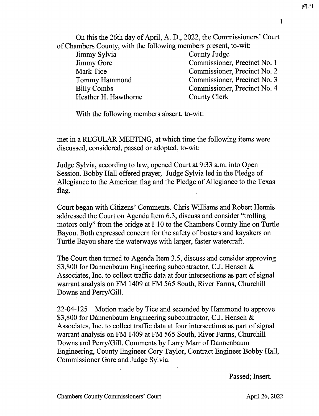1

On this the 26th day of April, A. D., 2022, the Commissioners' Court of Chambers County, with the following members present, to-wit:

Jimmy Sylvia Jimmy Gore Mark Tice Tommy Hammond Billy Combs Heather H. Hawthorne County Judge Commissioner, Precinct No. 1 Commissioner, Precinct No. 2 Commissioner, Precinct No. 3 Commissioner, Precinct No. 4 County Clerk

With the following members absent, to-wit:

met in a REGULAR MEETING, at which time the following items were discussed, considered, passed or adopted, to-wit:

Judge Sylvia, according to law, opened Court at 9:33 a.m. into Open Session. Bobby Hall offered prayer. Judge Sylvia led in the Pledge of Allegiance to the American flag and the Pledge of Allegiance to the Texas flag.

Court began with Citizens' Comments. Chris Williams and Robert Hennis addressed the Court on Agenda Item 6.3, discuss and consider "trolling motors only" from the bridge at I-10 to the Chambers County line on Turtle Bayou. Both expressed concern for the safety of boaters and kayakers on Turtle Bayou share the waterways with larger, faster watercraft.

The Court then turned to Agenda Item 3.5, discuss and consider approving \$3,800 for Dannenbaum Engineering subcontractor, C.J. Hensch & Associates, Inc. to collect traffic data at four intersections as part of signal warrant analysis on FM 1409 at FM 565 South, River Farms, Churchill Downs and Perry/Gill.

22-04-125 Motion made by Tice and seconded by Hammond to approve \$3,800 for Dannenbaum Engineering subcontractor, C.J. Hensch & Associates, Inc. to collect traffic data at four intersections as part of signal warrant analysis on FM 1409 at FM 565 South, River Farms, Churchill Downs and Perry/Gill. Comments by Larry Marr of Dannenbaum Engineering, County Engineer Cory Taylor, Contract Engineer Bobby Hall, Commissioner Gore and Judge Sylvia.

Passed; Insert.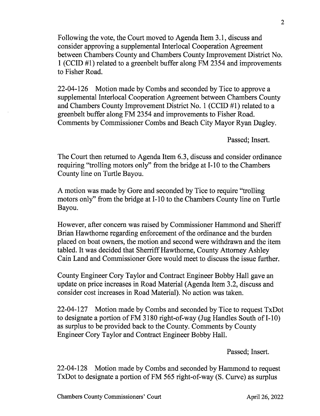Following the vote, the Court moved to Agenda Item 3.1, discuss and consider approving a supplemental Interlocal Cooperation Agreement between Chambers County and Chambers County Improvement District No. 1 (CCID #1) related to a greenbelt buffer along FM 2354 and improvements to Fisher Road.

22-04-126 Motion made by Combs and seconded by Tice to approve a supplemental Interlocal Cooperation Agreement between Chambers County and Chambers County Improvement District No. 1 (CCID #1) related to a greenbelt buffer along FM 2354 and improvements to Fisher Road. Comments by Commissioner Combs and Beach City Mayor Ryan Dagley.

Passed; Insert.

The Court then returned to Agenda Item 6.3, discuss and consider ordinance requiring "trolling motors only" from the bridge at I-10 to the Chambers County line on Turtle Bayou.

A motion was made by Gore and seconded by Tice to require "trolling motors only" from the bridge at I-10 to the Chambers County line on Turtle Bayou.

However, after concern was raised by Commissioner Hammond and Sheriff Brian Hawthorne regarding enforcement of the ordinance and the burden placed on boat owners, the motion and second were withdrawn and the item tabled. It was decided that Sherriff Hawthorne, County Attorney Ashley Cain Land and Commissioner Gore would meet to discuss the issue further.

County Engineer Cory Taylor and Contract Engineer Bobby Hall gave an update on price increases in Road Material (Agenda Item 3.2, discuss and consider cost increases in Road Material). No action was taken.

22-04-127 Motion made by Combs and seconded by Tice to request TxDot to designate a portion of FM 3180 right-of-way (Jug Handles South of I-10) as surplus to be provided back to the County. Comments by County Engineer Cory Taylor and Contract Engineer Bobby Hall.

Passed; Insert.

22-04-128 Motion made by Combs and seconded by Hammond to request TxDot to designate a portion of FM 565 right-of-way (S. Curve) as surplus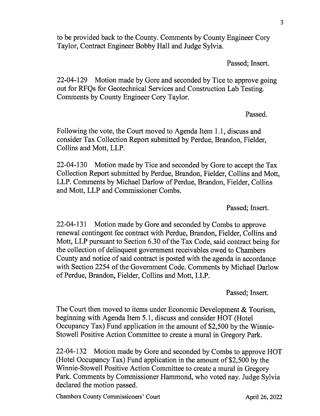to be provided back to the County. Comments by County Engineer Cory Taylor, Contract Engineer Bobby Hall and Judge Sylvia.

Passed; Insert.

22-04-129 Motion made by Gore and seconded by Tice to approve going out for RFQs for Geotechnical Services and Construction Lab Testing. Comments by County Engineer Cory Taylor.

Passed.

Following the vote, the Court moved to Agenda Item 1.1, discuss and consider Tax Collection Report submitted by Perdue, Brandon, Fielder, Collins and Mott, LLP.

22-04-130 Motion made by Tice and seconded by Gore to accept the Tax Collection Report submitted by Perdue, Brandon, Fielder, Collins and Mott, LLP. Comments by Michael Darlow of Perdue, Brandon, Fielder, Collins and Mott, LLP and Commissioner Combs.

Passed; Insert.

22-04-131 Motion made by Gore and seconded by Combs to approve renewal contingent fee contract with Perdue, Brandon, Fielder, Collins and Mott, LLP pursuant to Section 6.30 of the Tax Code, said contract being for the collection of delinquent government receivables owed to Chambers County and notice of said contract is posted with the agenda in accordance with Section 2254 of the Government Code. Comments by Michael Darlow of Perdue, Brandon, Fielder, Collins and Mott, LLP.

Passed; Insert.

The Court then moved to items under Economic Development & Tourism, beginning with Agenda Item 5.1, discuss and consider HOT (Hotel Occupancy Tax) Fund application in the amount of \$2,500 by the Winnie-Stowell Positive Action Committee to create a mural in Gregory Park.

22-04-132 Motion made by Gore and seconded by Combs to approve HOT (Hotel Occupancy Tax) Fund application in the amount of \$2,500 by the Winnie-Stowell Positive Action Committee to create a mural in Gregory Park. Comments by Commissioner Hammond, who voted nay. Judge Sylvia declared the motion passed.

Chambers County Commissioners' Court April 26, 2022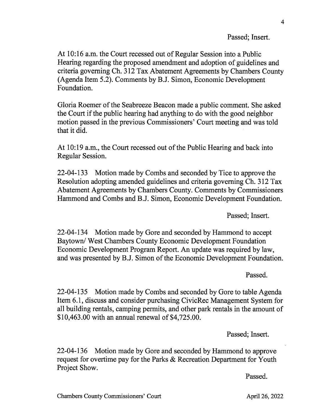## Passed; Insert.

At 10:16 a.m. the Court recessed out of Regular Session into a Public Hearing regarding the proposed amendment and adoption of guidelines and criteria governing Ch. 312 Tax Abatement Agreements by Chambers County (Agenda Item 5.2). Comments by B.J. Simon, Economic Development Foundation.

Gloria Roemer of the Seabreeze Beacon made a public comment. She asked the Court if the public hearing had anything to do with the good neighbor motion passed in the previous Commissioners' Court meeting and was told that it did.

At 10:19 a.m., the Court recessed out of the Public Hearing and back into Regular Session.

22-04-133 Motion made by Combs and seconded by Tice to approve the Resolution adopting amended guidelines and criteria governing Ch. 312 Tax Abatement Agreements by Chambers County. Comments by Commissioners Hammond and Combs and B.J. Simon, Economic Development Foundation.

Passed; Insert.

22-04-134 Motion made by Gore and seconded by Hammond to accept Baytown/ West Chambers County Economic Development Foundation Economic Development Program Report. An update was required by law, and was presented by B.J. Simon of the Economic Development Foundation.

Passed.

22-04-135 Motion made by Combs and seconded by Gore to table Agenda Item 6.1, discuss and consider purchasing CivicRec Management System for all building rentals, camping permits, and other park rentals in the amount of \$10,463.00 with an annual renewal of \$4,725.00.

Passed; Insert.

22-04-136 Motion made by Gore and seconded by Hammond to approve request for overtime pay for the Parks & Recreation Department for Youth Project Show.

Passed.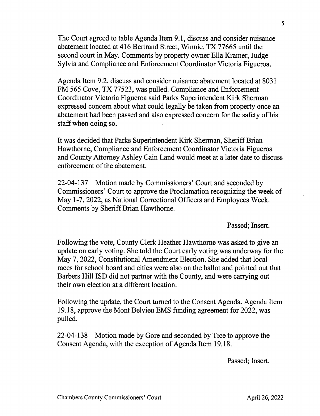The Court agreed to table Agenda Item 9.1, discuss and consider nuisance abatement located at 416 Bertrand Street, Winnie, TX 77665 until the second court in May. Comments by property owner Ella Kramer, Judge Sylvia and Compliance and Enforcement Coordinator Victoria Figueroa.

Agenda Item 9.2, discuss and consider nuisance abatement located at 8031 FM 565 Cove, TX 77523, was pulled. Compliance and Enforcement Coordinator Victoria Figueroa said Parks Superintendent Kirk Sherman expressed concern about what could legally be taken from property once an abatement had been passed and also expressed concern for the safety of his staff when doing so.

It was decided that Parks Superintendent Kirk Sherman, Sheriff Brian Hawthorne, Compliance and Enforcement Coordinator Victoria Figueroa and County Attorney Ashley Cain Land would meet at a later date to discuss enforcement of the abatement.

22-04-137 Motion made by Commissioners' Court and seconded by Commissioners' Court to approve the Proclamation recognizing the week of May 1-7, 2022, as National Correctional Officers and Employees Week. Comments by Sheriff Brian Hawthorne.

Passed; Insert.

Following the vote, County Clerk Heather Hawthorne was asked to give an update on early voting. She told the Court early voting was underway for the May 7, 2022, Constitutional Amendment Election. She added that local races for school board and cities were also on the ballot and pointed out that Barbers Hill ISD did not partner with the County, and were carrying out their own election at a different location.

Following the update, the Court turned to the Consent Agenda. Agenda Item 19.18, approve the Mont Belvieu EMS funding agreement for 2022, was pulled.

22-04-138 Motion made by Gore and seconded by Tice to approve the Consent Agenda, with the exception of Agenda Item 19.18.

Passed; Insert.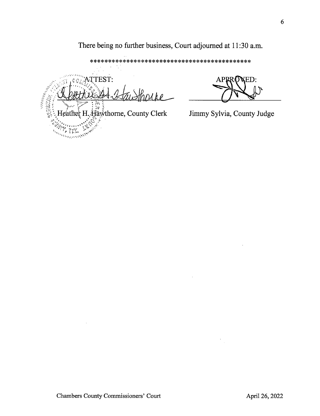There being no further business, Court adjourned at 11:30 a.m.

\*\*\*\*\*\*\*\*\*\*\*\*\*\*\*\*\*\*\*\*\*\*\*\*\*\*\*\*\*\*\*\*\*\*\*\*\*\*\*\*\*\*\*\* .," ATTEST: • . 2、经过的人  $He^{\frac{1}{2}}H$ .  $\frac{1}{2}$  Heather H.  $\frac{1}{2}$  Heather H.  $\frac{1}{2}$  awthorne, County Clerk Jimmy Sylvia, County Judge  $\sim 75$ تنصيبي ويدبدوه والمسا

APPRONED: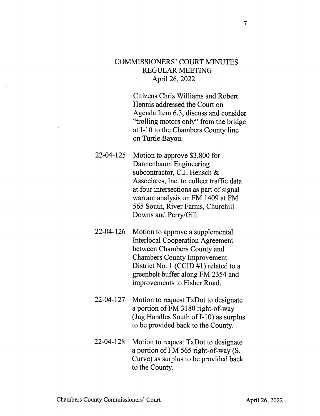## COMMISSIONERS' COURT MINUTES REGULAR MEETING April 26, 2022

Citizens Chris Williams and Robert Hennis addressed the Court on Agenda Item 6.3, discuss and consider "trolling motors only" from the bridge at I-10 to the Chambers County line on Turtle Bayou.

- 22-04-125 Motion to approve \$3,800 for Dannenbaum Engineering subcontractor, C.J. Hensch & Associates, Inc. to collect traffic data at four intersections as part of signal warrant analysis on FM 1409 at FM 565 South, River Farms, Churchill Downs and Perry/Gill.
- 22-04-126 Motion to approve a supplemental Interlocal Cooperation Agreement between Chambers County and Chambers County Improvement District No. 1 (CCID #1) related to a greenbelt buffer along FM 2354 and improvements to Fisher Road.
- 22-04-127 Motion to request TxDot to designate a portion of FM 3180 right-of-way (Jug Handles South of I-10) as surplus to be provided back to the County.
- 22-04-128 Motion to request TxDot to designate a portion of FM 565 right-of-way (S. Curve) as surplus to be provided back to the County.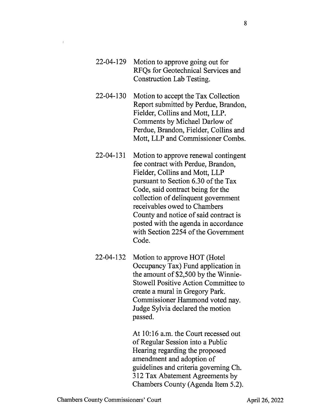- 22-04-129 Motion to approve going out for RFQs for Geotechnical Services and Construction Lab Testing.
- 22-04-130 Motion to accept the Tax Collection Report submitted by Perdue, Brandon, Fielder, Collins and Mott, LLP. Comments by Michael Darlow of Perdue, Brandon, Fielder, Collins and Mott, LLP and Commissioner Combs.
- 22-04-131 Motion to approve renewal contingent fee contract with Perdue, Brandon, Fielder, Collins and Mott, LLP pursuant to Section 6.30 of the Tax Code, said contract being for the collection of delinquent government receivables owed to Chambers County and notice of said contract is posted with the agenda in accordance with Section 2254 of the Government Code.
- 22-04-132 Motion to approve HOT (Hotel Occupancy Tax) Fund application in the amount of \$2,500 by the Winnie-Stowell Positive Action Committee to create a mural in Gregory Park. Commissioner Hammond voted nay. Judge Sylvia declared the motion passed.

At 10:16 a.m. the Court recessed out of Regular Session into a Public Hearing regarding the proposed amendment and adoption of guidelines and criteria governing Ch. 312 Tax Abatement Agreements by Chambers County (Agenda Item 5.2).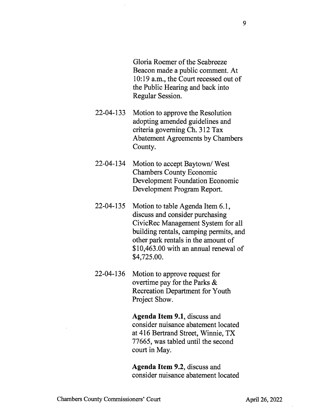Gloria Roemer of the Seabreeze Beacon made a public comment. At 10:19 a.m., the Court recessed out of the Public Hearing and back into Regular Session.

- 22-04-133 Motion to approve the Resolution adopting amended guidelines and criteria governing Ch. 312 Tax Abatement Agreements by Chambers County.
- 22-04-134 Motion to accept Baytown/ West Chambers County Economic Development Foundation Economic Development Program Report.
- 22-04-135 Motion to table Agenda Item 6.1, discuss and consider purchasing CivicRec Management System for all building rentals, camping permits, and other park rentals in the amount of \$10,463.00 with an annual renewal of \$4,725.00.
- 22-04-136 Motion to approve request for overtime pay for the Parks & Recreation Department for Youth Project Show.

Agenda Item 9.1, discuss and consider nuisance abatement located at 416 Bertrand Street, Winnie, TX 77665, was tabled until the second court in May.

Agenda Item 9.2, discuss and consider nuisance abatement located